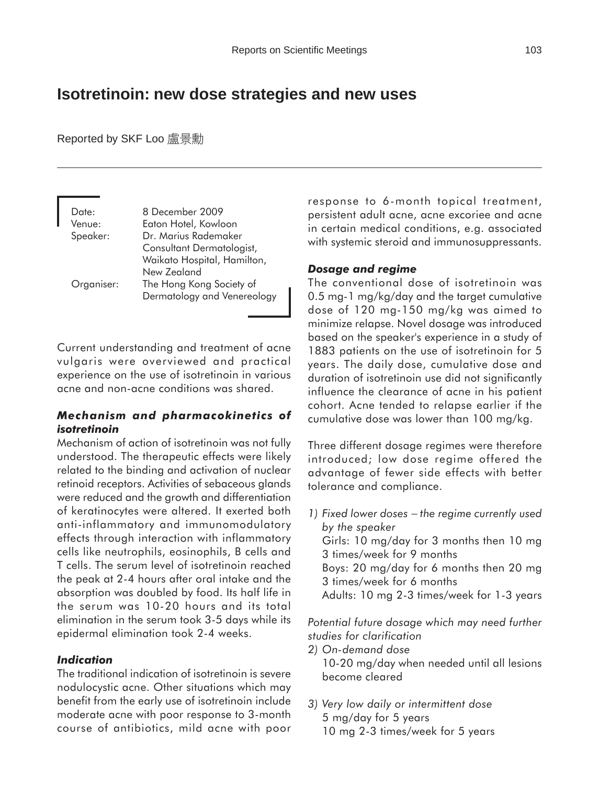### **Isotretinoin: new dose strategies and new uses**

Reported by SKF Loo 盧景勳

| Date:<br>Venue: | 8 December 2009<br>Eaton Hotel, Kowloon                                                         |
|-----------------|-------------------------------------------------------------------------------------------------|
| Speaker:        | Dr. Marius Rademaker<br>Consultant Dermatologist,<br>Waikato Hospital, Hamilton,<br>New Zealand |
| Organiser:      | The Hong Kong Society of<br>Dermatology and Venereology                                         |

Current understanding and treatment of acne vulgaris were overviewed and practical experience on the use of isotretinoin in various acne and non-acne conditions was shared.

#### *Mechanism and pharmacokinetics of isotretinoin*

Mechanism of action of isotretinoin was not fully understood. The therapeutic effects were likely related to the binding and activation of nuclear retinoid receptors. Activities of sebaceous glands were reduced and the growth and differentiation of keratinocytes were altered. It exerted both anti-inflammatory and immunomodulatory effects through interaction with inflammatory cells like neutrophils, eosinophils, B cells and T cells. The serum level of isotretinoin reached the peak at 2-4 hours after oral intake and the absorption was doubled by food. Its half life in the serum was 10-20 hours and its total elimination in the serum took 3-5 days while its epidermal elimination took 2-4 weeks.

#### *Indication*

The traditional indication of isotretinoin is severe nodulocystic acne. Other situations which may benefit from the early use of isotretinoin include moderate acne with poor response to 3-month course of antibiotics, mild acne with poor response to 6-month topical treatment, persistent adult acne, acne excoriee and acne in certain medical conditions, e.g. associated with systemic steroid and immunosuppressants.

#### *Dosage and regime*

The conventional dose of isotretinoin was 0.5 mg-1 mg/kg/day and the target cumulative dose of 120 mg-150 mg/kg was aimed to minimize relapse. Novel dosage was introduced based on the speaker's experience in a study of 1883 patients on the use of isotretinoin for 5 years. The daily dose, cumulative dose and duration of isotretinoin use did not significantly influence the clearance of acne in his patient cohort. Acne tended to relapse earlier if the cumulative dose was lower than 100 mg/kg.

Three different dosage regimes were therefore introduced; low dose regime offered the advantage of fewer side effects with better tolerance and compliance.

*1) Fixed lower doses* − *the regime currently used by the speaker* Girls: 10 mg/day for 3 months then 10 mg 3 times/week for 9 months Boys: 20 mg/day for 6 months then 20 mg 3 times/week for 6 months Adults: 10 mg 2-3 times/week for 1-3 years

*Potential future dosage which may need further studies for clarification*

- *2) On-demand dose* 10-20 mg/day when needed until all lesions become cleared
- *3) Very low daily or intermittent dose* 5 mg/day for 5 years 10 mg 2-3 times/week for 5 years